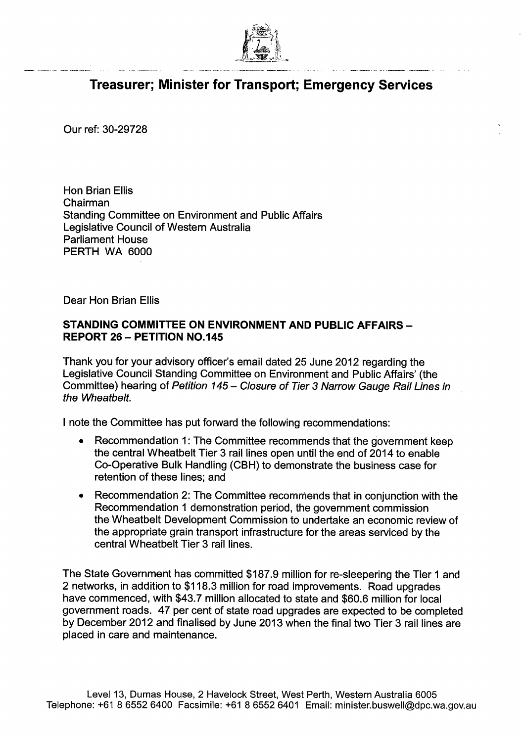

## **Treasurer; Minister for Transport; Emergency Services**

Our ref: 30-29728

-

Hon Brian Ellis Chairman Standing Committee on Environment and Public Affairs Legislative Council of Western Australia Parliament House PERTH WA 6000

Dear Hon Brian Ellis

## **STANDING COMMITTEE ON ENVIRONMENT AND PUBLIC AFFAIRS — REPORT 26— PETITION NO.145**

Thank you for your advisory officer's email dated 25 June 2012 regarding the Legislative Council Standing Committee on Environment and Public Affairs' (the Committee) hearing of Petition 145 — Closure of Tier 3 Narrow Gauge Rail Lines in the Wheatbelt.

I note the Committee has put forward the following recommendations:

- Recommendation 1: The Committee recommends that the government keep the central Wheatbelt Tier 3 rail lines open until the end of 2014 to enable Co-Operative Bulk Handling (CBH) to demonstrate the business case for retention of these lines; and
- Recommendation 2: The Committee recommends that in conjunction with the Recommendation 1 demonstration period, the government commission the Wheatbelt Development Commission to undertake an economic review of the appropriate grain transport infrastructure for the areas serviced by the central Wheatbelt Tier 3 rail lines.

The State Government has committed \$187.9 million for re-sleepering the Tier 1 and 2 networks, in addition to \$118.3 million for road improvements. Road upgrades have commenced, with \$43.7 million allocated to state and \$60.6 million for local government roads. 47 per cent of state road upgrades are expected to be completed by December 2012 and finalised by June 2013 when the final two Tier 3 rail lines are placed in care and maintenance.